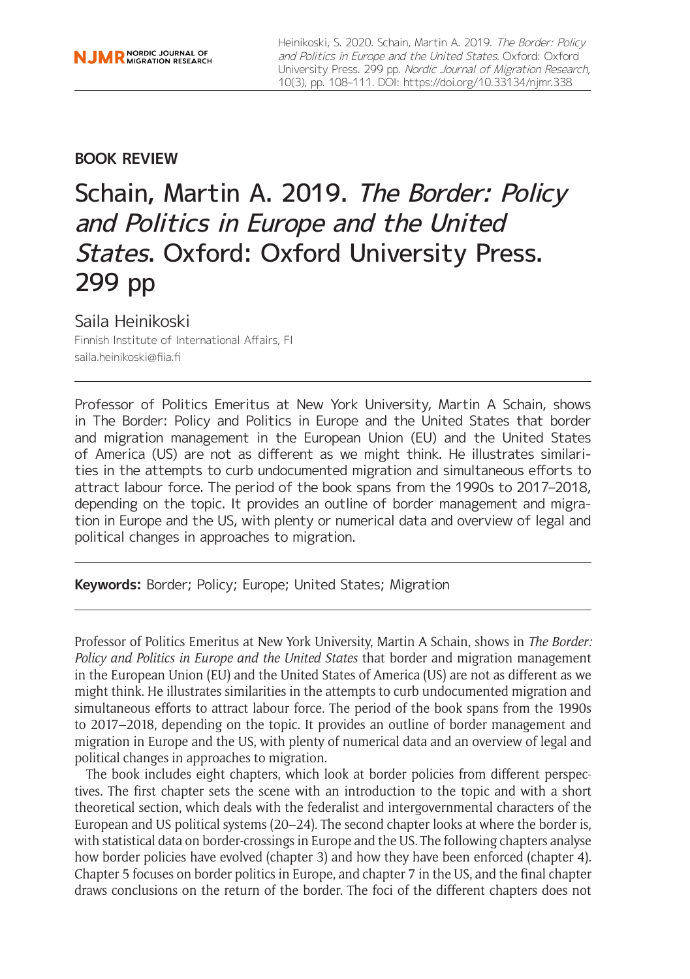## **BOOK REVIEW**

# Schain, Martin A. 2019. The Border: Policy and Politics in Europe and the United States. Oxford: Oxford University Press. 299 pp

## Saila Heinikoski

Finnish Institute of International Affairs, FI [saila.heinikoski@fiia.fi](mailto:saila.heinikoski@fiia.fi)

Professor of Politics Emeritus at New York University, Martin A Schain, shows in The Border: Policy and Politics in Europe and the United States that border and migration management in the European Union (EU) and the United States of America (US) are not as different as we might think. He illustrates similarities in the attempts to curb undocumented migration and simultaneous efforts to attract labour force. The period of the book spans from the 1990s to 2017–2018, depending on the topic. It provides an outline of border management and migration in Europe and the US, with plenty or numerical data and overview of legal and political changes in approaches to migration.

**Keywords:** Border; Policy; Europe; United States; Migration

Professor of Politics Emeritus at New York University, Martin A Schain, shows in *The Border: Policy and Politics in Europe and the United States* that border and migration management in the European Union (EU) and the United States of America (US) are not as different as we might think. He illustrates similarities in the attempts to curb undocumented migration and simultaneous efforts to attract labour force. The period of the book spans from the 1990s to 2017–2018, depending on the topic. It provides an outline of border management and migration in Europe and the US, with plenty of numerical data and an overview of legal and political changes in approaches to migration.

The book includes eight chapters, which look at border policies from different perspectives. The first chapter sets the scene with an introduction to the topic and with a short theoretical section, which deals with the federalist and intergovernmental characters of the European and US political systems (20–24). The second chapter looks at where the border is, with statistical data on border-crossings in Europe and the US. The following chapters analyse how border policies have evolved (chapter 3) and how they have been enforced (chapter 4). Chapter 5 focuses on border politics in Europe, and chapter 7 in the US, and the final chapter draws conclusions on the return of the border. The foci of the different chapters does not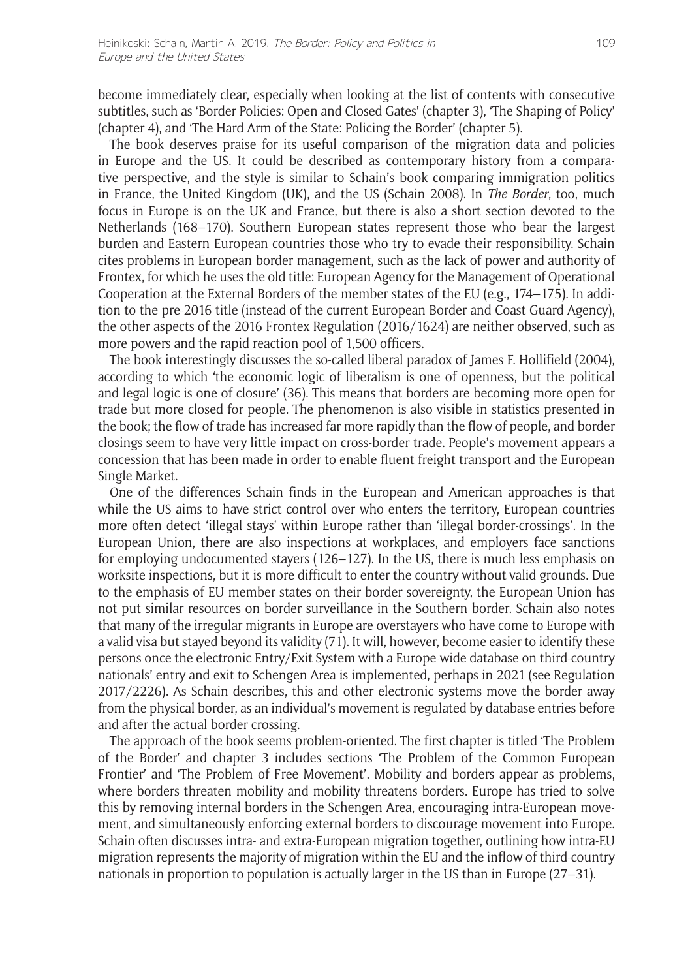become immediately clear, especially when looking at the list of contents with consecutive subtitles, such as 'Border Policies: Open and Closed Gates' (chapter 3), 'The Shaping of Policy' (chapter 4), and 'The Hard Arm of the State: Policing the Border' (chapter 5).

The book deserves praise for its useful comparison of the migration data and policies in Europe and the US. It could be described as contemporary history from a comparative perspective, and the style is similar to Schain's book comparing immigration politics in France, the United Kingdom (UK), and the US (Schain 2008). In *The Border*, too, much focus in Europe is on the UK and France, but there is also a short section devoted to the Netherlands (168–170). Southern European states represent those who bear the largest burden and Eastern European countries those who try to evade their responsibility. Schain cites problems in European border management, such as the lack of power and authority of Frontex, for which he uses the old title: European Agency for the Management of Operational Cooperation at the External Borders of the member states of the EU (e.g., 174–175). In addition to the pre-2016 title (instead of the current European Border and Coast Guard Agency), the other aspects of the 2016 Frontex Regulation (2016/1624) are neither observed, such as more powers and the rapid reaction pool of 1,500 officers.

The book interestingly discusses the so-called liberal paradox of James F. Hollifield (2004), according to which 'the economic logic of liberalism is one of openness, but the political and legal logic is one of closure' (36). This means that borders are becoming more open for trade but more closed for people. The phenomenon is also visible in statistics presented in the book; the flow of trade has increased far more rapidly than the flow of people, and border closings seem to have very little impact on cross-border trade. People's movement appears a concession that has been made in order to enable fluent freight transport and the European Single Market.

One of the differences Schain finds in the European and American approaches is that while the US aims to have strict control over who enters the territory, European countries more often detect 'illegal stays' within Europe rather than 'illegal border-crossings'. In the European Union, there are also inspections at workplaces, and employers face sanctions for employing undocumented stayers (126–127). In the US, there is much less emphasis on worksite inspections, but it is more difficult to enter the country without valid grounds. Due to the emphasis of EU member states on their border sovereignty, the European Union has not put similar resources on border surveillance in the Southern border. Schain also notes that many of the irregular migrants in Europe are overstayers who have come to Europe with a valid visa but stayed beyond its validity (71). It will, however, become easier to identify these persons once the electronic Entry/Exit System with a Europe-wide database on third-country nationals' entry and exit to Schengen Area is implemented, perhaps in 2021 (see Regulation 2017/2226). As Schain describes, this and other electronic systems move the border away from the physical border, as an individual's movement is regulated by database entries before and after the actual border crossing.

The approach of the book seems problem-oriented. The first chapter is titled 'The Problem of the Border' and chapter 3 includes sections 'The Problem of the Common European Frontier' and 'The Problem of Free Movement'. Mobility and borders appear as problems, where borders threaten mobility and mobility threatens borders. Europe has tried to solve this by removing internal borders in the Schengen Area, encouraging intra-European movement, and simultaneously enforcing external borders to discourage movement into Europe. Schain often discusses intra- and extra-European migration together, outlining how intra-EU migration represents the majority of migration within the EU and the inflow of third-country nationals in proportion to population is actually larger in the US than in Europe (27–31).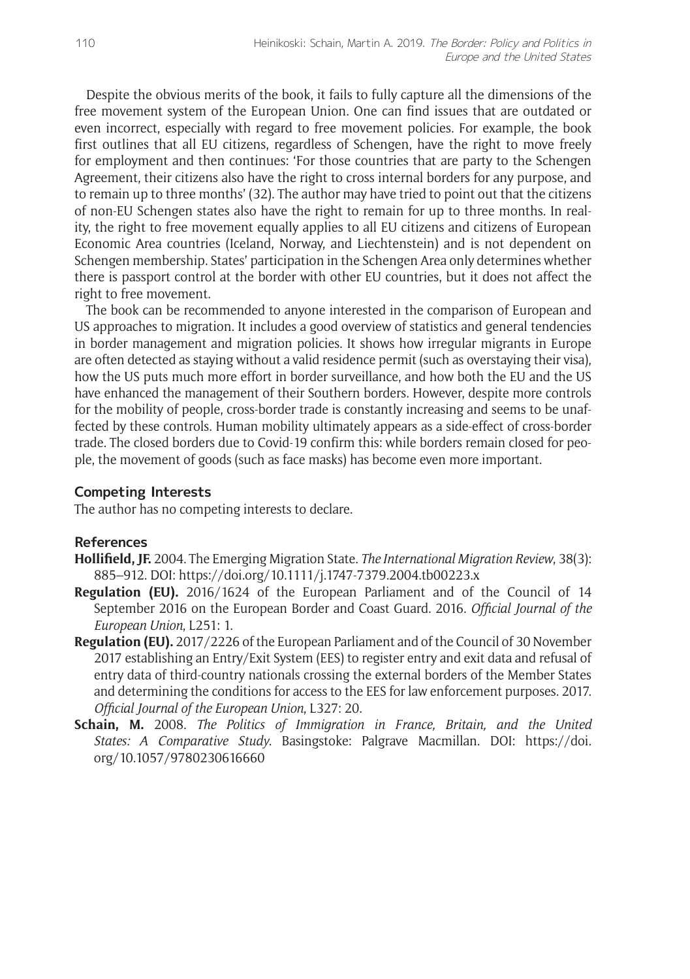Despite the obvious merits of the book, it fails to fully capture all the dimensions of the free movement system of the European Union. One can find issues that are outdated or even incorrect, especially with regard to free movement policies. For example, the book first outlines that all EU citizens, regardless of Schengen, have the right to move freely for employment and then continues: 'For those countries that are party to the Schengen Agreement, their citizens also have the right to cross internal borders for any purpose, and to remain up to three months' (32). The author may have tried to point out that the citizens of non-EU Schengen states also have the right to remain for up to three months. In reality, the right to free movement equally applies to all EU citizens and citizens of European Economic Area countries (Iceland, Norway, and Liechtenstein) and is not dependent on Schengen membership. States' participation in the Schengen Area only determines whether there is passport control at the border with other EU countries, but it does not affect the right to free movement.

The book can be recommended to anyone interested in the comparison of European and US approaches to migration. It includes a good overview of statistics and general tendencies in border management and migration policies. It shows how irregular migrants in Europe are often detected as staying without a valid residence permit (such as overstaying their visa), how the US puts much more effort in border surveillance, and how both the EU and the US have enhanced the management of their Southern borders. However, despite more controls for the mobility of people, cross-border trade is constantly increasing and seems to be unaffected by these controls. Human mobility ultimately appears as a side-effect of cross-border trade. The closed borders due to Covid-19 confirm this: while borders remain closed for people, the movement of goods (such as face masks) has become even more important.

#### **Competing Interests**

The author has no competing interests to declare.

### **References**

- **Hollifield, JF.** 2004. The Emerging Migration State. *The International Migration Review*, 38(3): 885–912. DOI:<https://doi.org/10.1111/j.1747-7379.2004.tb00223.x>
- **Regulation (EU).** 2016/1624 of the European Parliament and of the Council of 14 September 2016 on the European Border and Coast Guard. 2016. *Official Journal of the European Union*, L251: 1.
- **Regulation (EU).** 2017/2226 of the European Parliament and of the Council of 30 November 2017 establishing an Entry/Exit System (EES) to register entry and exit data and refusal of entry data of third-country nationals crossing the external borders of the Member States and determining the conditions for access to the EES for law enforcement purposes. 2017. *Official Journal of the European Union*, L327: 20.
- **Schain, M.** 2008. *The Politics of Immigration in France, Britain, and the United States: A Comparative Study*. Basingstoke: Palgrave Macmillan. DOI: [https://doi.](https://doi.org/10.1057/9780230616660) [org/10.1057/9780230616660](https://doi.org/10.1057/9780230616660)